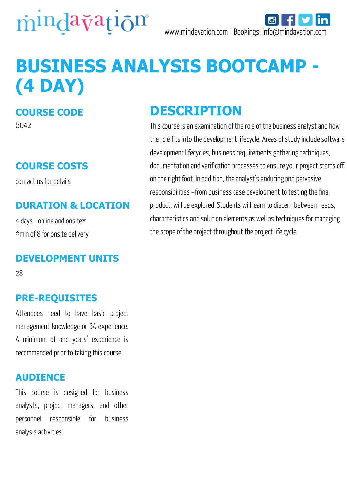

# **BUSINESS ANALYSIS BOOTCAMP - (4 DAY)**

### **COURSE CODE**

6042

## **COURSE COSTS**

contact us for details

#### **DURATION & LOCATION**

4 days - online and onsite\* \*min of 8 for onsite delivery

#### **DEVELOPMENT UNITS**

28

#### **PRE-REQUISITES**

Attendees need to have basic project management knowledge or BA experience. A minimum of one years' experience is recommended prior to taking this course.

#### **AUDIENCE**

This course is designed for business analysts, project managers, and other personnel responsible for business analysis activities.

# **DESCRIPTION**

This course is an examination of the role of the business analyst and how the role fits into the development lifecycle. Areas of study include software development lifecycles, business requirements gathering techniques, documentation and verification processes to ensure your project starts off on the right foot. In addition, the analyst's enduring and pervasive responsibilities –from business case development to testing the final product, will be explored. Students will learn to discern between needs, characteristics and solution elements as well as techniques for managing the scope of the project throughout the project life cycle.